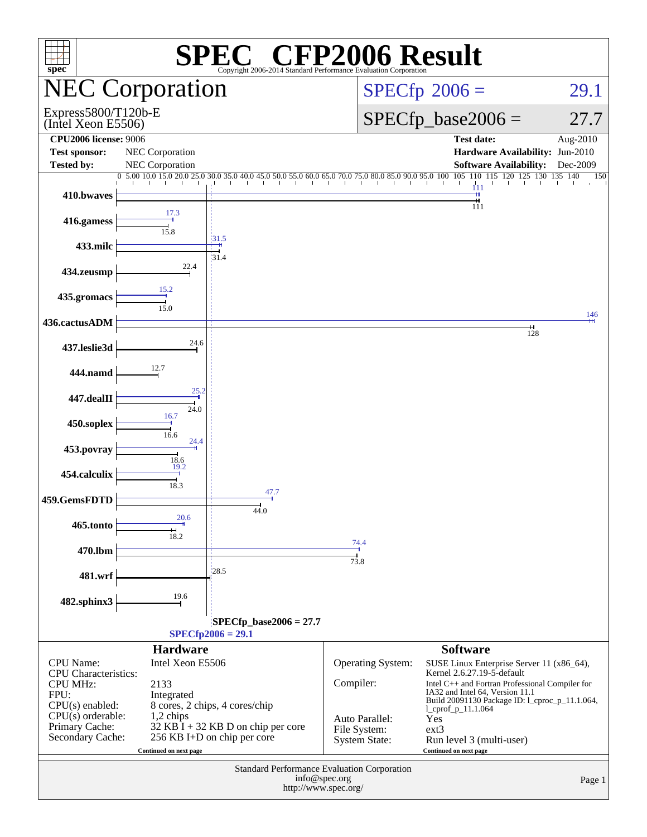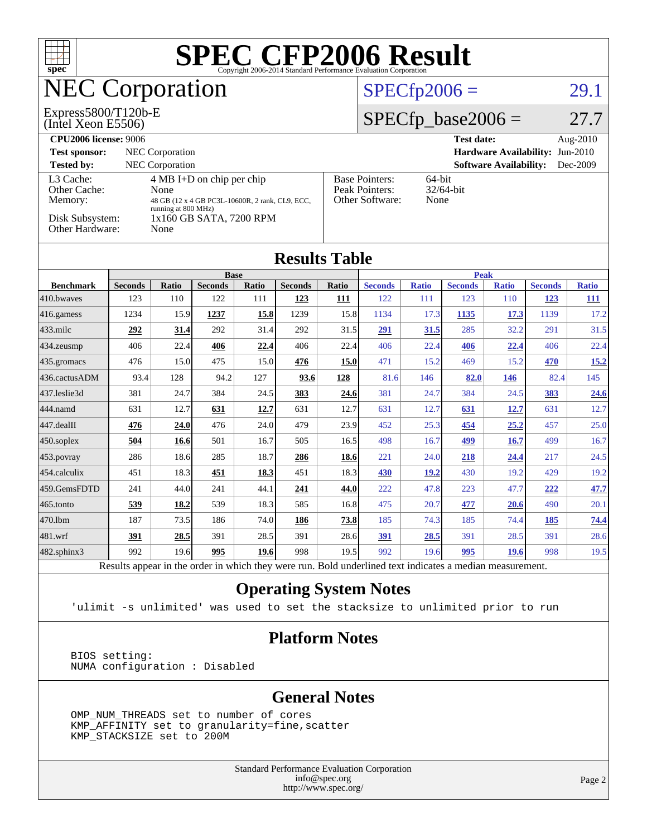| $spec^*$                                                          |                                                                                                          |                 |                                                 |             |                                                                |                | <b>SPEC CFP2006 Result</b><br>Copyright 2006-2014 Standard Performance Evaluation Corporation |                      |                               |                               |                                 |              |
|-------------------------------------------------------------------|----------------------------------------------------------------------------------------------------------|-----------------|-------------------------------------------------|-------------|----------------------------------------------------------------|----------------|-----------------------------------------------------------------------------------------------|----------------------|-------------------------------|-------------------------------|---------------------------------|--------------|
| <b>NEC Corporation</b>                                            |                                                                                                          |                 |                                                 |             |                                                                | $SPECfp2006 =$ |                                                                                               |                      |                               | 29.1                          |                                 |              |
| Express5800/T120b-E<br>(Intel Xeon E5506)                         |                                                                                                          |                 |                                                 |             |                                                                |                |                                                                                               | $SPECfp\_base2006 =$ |                               |                               | 27.7                            |              |
| <b>CPU2006</b> license: 9006                                      |                                                                                                          |                 |                                                 |             |                                                                |                |                                                                                               |                      | <b>Test date:</b>             |                               |                                 | Aug-2010     |
| <b>Test sponsor:</b>                                              |                                                                                                          | NEC Corporation |                                                 |             |                                                                |                |                                                                                               |                      |                               |                               | Hardware Availability: Jun-2010 |              |
| <b>Tested by:</b>                                                 |                                                                                                          | NEC Corporation |                                                 |             |                                                                |                |                                                                                               |                      |                               | <b>Software Availability:</b> |                                 | Dec-2009     |
| Other Cache:                                                      | L3 Cache:<br>4 MB I+D on chip per chip<br>None                                                           |                 |                                                 |             | <b>Base Pointers:</b><br>64-bit<br>Peak Pointers:<br>32/64-bit |                |                                                                                               |                      |                               |                               |                                 |              |
| Memory:                                                           |                                                                                                          |                 | 48 GB (12 x 4 GB PC3L-10600R, 2 rank, CL9, ECC, |             |                                                                |                | Other Software:<br>None                                                                       |                      |                               |                               |                                 |              |
| running at 800 MHz)<br>Disk Subsystem:<br>1x160 GB SATA, 7200 RPM |                                                                                                          |                 |                                                 |             |                                                                |                |                                                                                               |                      |                               |                               |                                 |              |
| Other Hardware:                                                   |                                                                                                          | None            |                                                 |             |                                                                |                |                                                                                               |                      |                               |                               |                                 |              |
|                                                                   |                                                                                                          |                 |                                                 |             |                                                                |                |                                                                                               |                      |                               |                               |                                 |              |
|                                                                   | <b>Results Table</b>                                                                                     |                 |                                                 |             |                                                                |                |                                                                                               |                      |                               |                               |                                 |              |
| <b>Benchmark</b>                                                  | Seconds                                                                                                  | <b>Ratio</b>    | <b>Base</b><br><b>Seconds</b>                   | Ratio       | <b>Seconds</b>                                                 | Ratio          | <b>Seconds</b>                                                                                | <b>Ratio</b>         | <b>Peak</b><br><b>Seconds</b> | <b>Ratio</b>                  | <b>Seconds</b>                  | <b>Ratio</b> |
| 410.bwayes                                                        | 123                                                                                                      | 110             | 122                                             | 111         | 123                                                            | 111            | 122                                                                                           | 111                  | 123                           | 110                           | 123                             | <b>111</b>   |
| 416.gamess                                                        | 1234                                                                                                     | 15.9            | 1237                                            | 15.8        | 1239                                                           | 15.8           | 1134                                                                                          | 17.3                 | 1135                          | 17.3                          | 1139                            | 17.2         |
| 433.milc                                                          | 292                                                                                                      | 31.4            | 292                                             | 31.4        | 292                                                            | 31.5           | 291                                                                                           | 31.5                 | 285                           | 32.2                          | 291                             | 31.5         |
| 434.zeusmp                                                        | 406                                                                                                      | 22.4            | 406                                             | 22.4        | 406                                                            | 22.4           | 406                                                                                           | 22.4                 | 406                           | 22.4                          | 406                             | 22.4         |
| 435.gromacs                                                       | 476                                                                                                      | 15.0            | 475                                             | 15.0        | 476                                                            | 15.0           | 471                                                                                           | 15.2                 | 469                           | 15.2                          | 470                             | 15.2         |
| 436.cactusADM                                                     | 93.4                                                                                                     | 128             | 94.2                                            | 127         | 93.6                                                           | 128            | 81.6                                                                                          | 146                  | 82.0                          | <b>146</b>                    | 82.4                            | 145          |
| 437.leslie3d                                                      | 381                                                                                                      | 24.7            | 384                                             | 24.5        | 383                                                            | 24.6           | 381                                                                                           | 24.7                 | 384                           | 24.5                          | 383                             | 24.6         |
| 444.namd                                                          | 631                                                                                                      | 12.7            | 631                                             | <b>12.7</b> | 631                                                            | 12.7           | 631                                                                                           | 12.7                 | 631                           | 12.7                          | 631                             | 12.7         |
| 447.dealII                                                        | 476                                                                                                      | 24.0            | 476                                             | 24.0        | 479                                                            | 23.9           | 452                                                                                           | 25.3                 | 454                           | 25.2                          | 457                             | 25.0         |
| 450.soplex                                                        | 504                                                                                                      | <b>16.6</b>     | 501                                             | 16.7        | 505                                                            | 16.5           | 498                                                                                           | 16.7                 | 499                           | 16.7                          | 499                             | 16.7         |
| 453.povray                                                        | 286                                                                                                      | 18.6            | 285                                             | 18.7        | 286                                                            | 18.6           | 221                                                                                           | 24.0                 | 218                           | 24.4                          | 217                             | 24.5         |
| 454.calculix                                                      | 451                                                                                                      | 18.3            | 451                                             | 18.3        | 451                                                            | 18.3           | 430                                                                                           | <b>19.2</b>          | 430                           | 19.2                          | 429                             | 19.2         |
| 459.GemsFDTD                                                      | 241                                                                                                      | 44.0            | 241                                             | 44.1        | 241                                                            | 44.0           | 222                                                                                           | 47.8                 | 223                           | 47.7                          | 222                             | 47.7         |
| 465.tonto                                                         | 539                                                                                                      | 18.2            | 539                                             | 18.3        | 585                                                            | 16.8           | 475                                                                                           | 20.7                 | 477                           | 20.6                          | 490                             | 20.1         |
| 470.1bm                                                           | 187                                                                                                      | 73.5            | 186                                             | 74.0        | 186                                                            | 73.8           | 185                                                                                           | 74.3                 | 185                           | 74.4                          | 185                             | <u>74.4</u>  |
| 481.wrf                                                           | 391                                                                                                      | 28.5            | 391                                             | 28.5        | 391                                                            | 28.6           | 391                                                                                           | 28.5                 | 391                           | 28.5                          | 391                             | 28.6         |
| 482.sphinx3                                                       | 992                                                                                                      | 19.6            | 995                                             | 19.6        | 998                                                            | 19.5           | 992                                                                                           | 19.6                 | 995                           | 19.6                          | 998                             | 19.5         |
|                                                                   | Results appear in the order in which they were run. Bold underlined text indicates a median measurement. |                 |                                                 |             |                                                                |                |                                                                                               |                      |                               |                               |                                 |              |

### **[Operating System Notes](http://www.spec.org/auto/cpu2006/Docs/result-fields.html#OperatingSystemNotes)**

'ulimit -s unlimited' was used to set the stacksize to unlimited prior to run

### **[Platform Notes](http://www.spec.org/auto/cpu2006/Docs/result-fields.html#PlatformNotes)**

 BIOS setting: NUMA configuration : Disabled

### **[General Notes](http://www.spec.org/auto/cpu2006/Docs/result-fields.html#GeneralNotes)**

 OMP\_NUM\_THREADS set to number of cores KMP\_AFFINITY set to granularity=fine,scatter KMP\_STACKSIZE set to 200M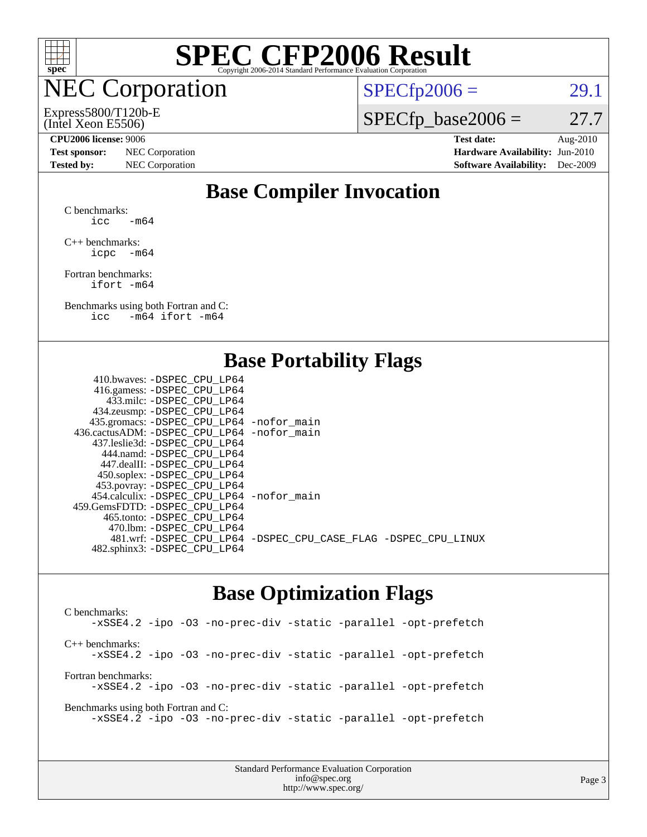

## NEC Corporation

### (Intel Xeon E5506) Express5800/T120b-E

 $SPECTp2006 = 29.1$ 

 $SPECfp\_base2006 = 27.7$ 

**[Test sponsor:](http://www.spec.org/auto/cpu2006/Docs/result-fields.html#Testsponsor)** NEC Corporation **[Hardware Availability:](http://www.spec.org/auto/cpu2006/Docs/result-fields.html#HardwareAvailability)** Jun-2010

**[CPU2006 license:](http://www.spec.org/auto/cpu2006/Docs/result-fields.html#CPU2006license)** 9006 **[Test date:](http://www.spec.org/auto/cpu2006/Docs/result-fields.html#Testdate)** Aug-2010 **[Tested by:](http://www.spec.org/auto/cpu2006/Docs/result-fields.html#Testedby)** NEC Corporation **[Software Availability:](http://www.spec.org/auto/cpu2006/Docs/result-fields.html#SoftwareAvailability)** Dec-2009

### **[Base Compiler Invocation](http://www.spec.org/auto/cpu2006/Docs/result-fields.html#BaseCompilerInvocation)**

[C benchmarks](http://www.spec.org/auto/cpu2006/Docs/result-fields.html#Cbenchmarks):  $\text{icc}$  -m64

[C++ benchmarks:](http://www.spec.org/auto/cpu2006/Docs/result-fields.html#CXXbenchmarks) [icpc -m64](http://www.spec.org/cpu2006/results/res2010q3/cpu2006-20100829-13102.flags.html#user_CXXbase_intel_icpc_64bit_bedb90c1146cab66620883ef4f41a67e)

[Fortran benchmarks](http://www.spec.org/auto/cpu2006/Docs/result-fields.html#Fortranbenchmarks): [ifort -m64](http://www.spec.org/cpu2006/results/res2010q3/cpu2006-20100829-13102.flags.html#user_FCbase_intel_ifort_64bit_ee9d0fb25645d0210d97eb0527dcc06e)

[Benchmarks using both Fortran and C](http://www.spec.org/auto/cpu2006/Docs/result-fields.html#BenchmarksusingbothFortranandC): [icc -m64](http://www.spec.org/cpu2006/results/res2010q3/cpu2006-20100829-13102.flags.html#user_CC_FCbase_intel_icc_64bit_0b7121f5ab7cfabee23d88897260401c) [ifort -m64](http://www.spec.org/cpu2006/results/res2010q3/cpu2006-20100829-13102.flags.html#user_CC_FCbase_intel_ifort_64bit_ee9d0fb25645d0210d97eb0527dcc06e)

### **[Base Portability Flags](http://www.spec.org/auto/cpu2006/Docs/result-fields.html#BasePortabilityFlags)**

| 410.bwaves: -DSPEC CPU LP64                |                                                                |
|--------------------------------------------|----------------------------------------------------------------|
| 416.gamess: -DSPEC_CPU_LP64                |                                                                |
| 433.milc: -DSPEC CPU LP64                  |                                                                |
| 434.zeusmp: -DSPEC_CPU_LP64                |                                                                |
| 435.gromacs: -DSPEC_CPU_LP64 -nofor_main   |                                                                |
| 436.cactusADM: -DSPEC CPU LP64 -nofor main |                                                                |
| 437.leslie3d: -DSPEC CPU LP64              |                                                                |
| 444.namd: - DSPEC CPU LP64                 |                                                                |
| 447.dealII: -DSPEC CPU LP64                |                                                                |
| 450.soplex: -DSPEC_CPU_LP64                |                                                                |
| 453.povray: -DSPEC_CPU_LP64                |                                                                |
| 454.calculix: -DSPEC CPU LP64 -nofor main  |                                                                |
| 459.GemsFDTD: -DSPEC CPU LP64              |                                                                |
| 465.tonto: - DSPEC_CPU LP64                |                                                                |
| 470.1bm: - DSPEC CPU LP64                  |                                                                |
|                                            | 481.wrf: -DSPEC_CPU_LP64 -DSPEC_CPU_CASE_FLAG -DSPEC_CPU_LINUX |
| 482.sphinx3: -DSPEC_CPU_LP64               |                                                                |
|                                            |                                                                |

### **[Base Optimization Flags](http://www.spec.org/auto/cpu2006/Docs/result-fields.html#BaseOptimizationFlags)**

[C benchmarks](http://www.spec.org/auto/cpu2006/Docs/result-fields.html#Cbenchmarks): [-xSSE4.2](http://www.spec.org/cpu2006/results/res2010q3/cpu2006-20100829-13102.flags.html#user_CCbase_f-xSSE42_f91528193cf0b216347adb8b939d4107) [-ipo](http://www.spec.org/cpu2006/results/res2010q3/cpu2006-20100829-13102.flags.html#user_CCbase_f-ipo) [-O3](http://www.spec.org/cpu2006/results/res2010q3/cpu2006-20100829-13102.flags.html#user_CCbase_f-O3) [-no-prec-div](http://www.spec.org/cpu2006/results/res2010q3/cpu2006-20100829-13102.flags.html#user_CCbase_f-no-prec-div) [-static](http://www.spec.org/cpu2006/results/res2010q3/cpu2006-20100829-13102.flags.html#user_CCbase_f-static) [-parallel](http://www.spec.org/cpu2006/results/res2010q3/cpu2006-20100829-13102.flags.html#user_CCbase_f-parallel) [-opt-prefetch](http://www.spec.org/cpu2006/results/res2010q3/cpu2006-20100829-13102.flags.html#user_CCbase_f-opt-prefetch) [C++ benchmarks:](http://www.spec.org/auto/cpu2006/Docs/result-fields.html#CXXbenchmarks) [-xSSE4.2](http://www.spec.org/cpu2006/results/res2010q3/cpu2006-20100829-13102.flags.html#user_CXXbase_f-xSSE42_f91528193cf0b216347adb8b939d4107) [-ipo](http://www.spec.org/cpu2006/results/res2010q3/cpu2006-20100829-13102.flags.html#user_CXXbase_f-ipo) [-O3](http://www.spec.org/cpu2006/results/res2010q3/cpu2006-20100829-13102.flags.html#user_CXXbase_f-O3) [-no-prec-div](http://www.spec.org/cpu2006/results/res2010q3/cpu2006-20100829-13102.flags.html#user_CXXbase_f-no-prec-div) [-static](http://www.spec.org/cpu2006/results/res2010q3/cpu2006-20100829-13102.flags.html#user_CXXbase_f-static) [-parallel](http://www.spec.org/cpu2006/results/res2010q3/cpu2006-20100829-13102.flags.html#user_CXXbase_f-parallel) [-opt-prefetch](http://www.spec.org/cpu2006/results/res2010q3/cpu2006-20100829-13102.flags.html#user_CXXbase_f-opt-prefetch) [Fortran benchmarks](http://www.spec.org/auto/cpu2006/Docs/result-fields.html#Fortranbenchmarks): [-xSSE4.2](http://www.spec.org/cpu2006/results/res2010q3/cpu2006-20100829-13102.flags.html#user_FCbase_f-xSSE42_f91528193cf0b216347adb8b939d4107) [-ipo](http://www.spec.org/cpu2006/results/res2010q3/cpu2006-20100829-13102.flags.html#user_FCbase_f-ipo) [-O3](http://www.spec.org/cpu2006/results/res2010q3/cpu2006-20100829-13102.flags.html#user_FCbase_f-O3) [-no-prec-div](http://www.spec.org/cpu2006/results/res2010q3/cpu2006-20100829-13102.flags.html#user_FCbase_f-no-prec-div) [-static](http://www.spec.org/cpu2006/results/res2010q3/cpu2006-20100829-13102.flags.html#user_FCbase_f-static) [-parallel](http://www.spec.org/cpu2006/results/res2010q3/cpu2006-20100829-13102.flags.html#user_FCbase_f-parallel) [-opt-prefetch](http://www.spec.org/cpu2006/results/res2010q3/cpu2006-20100829-13102.flags.html#user_FCbase_f-opt-prefetch) [Benchmarks using both Fortran and C](http://www.spec.org/auto/cpu2006/Docs/result-fields.html#BenchmarksusingbothFortranandC): [-xSSE4.2](http://www.spec.org/cpu2006/results/res2010q3/cpu2006-20100829-13102.flags.html#user_CC_FCbase_f-xSSE42_f91528193cf0b216347adb8b939d4107) [-ipo](http://www.spec.org/cpu2006/results/res2010q3/cpu2006-20100829-13102.flags.html#user_CC_FCbase_f-ipo) [-O3](http://www.spec.org/cpu2006/results/res2010q3/cpu2006-20100829-13102.flags.html#user_CC_FCbase_f-O3) [-no-prec-div](http://www.spec.org/cpu2006/results/res2010q3/cpu2006-20100829-13102.flags.html#user_CC_FCbase_f-no-prec-div) [-static](http://www.spec.org/cpu2006/results/res2010q3/cpu2006-20100829-13102.flags.html#user_CC_FCbase_f-static) [-parallel](http://www.spec.org/cpu2006/results/res2010q3/cpu2006-20100829-13102.flags.html#user_CC_FCbase_f-parallel) [-opt-prefetch](http://www.spec.org/cpu2006/results/res2010q3/cpu2006-20100829-13102.flags.html#user_CC_FCbase_f-opt-prefetch)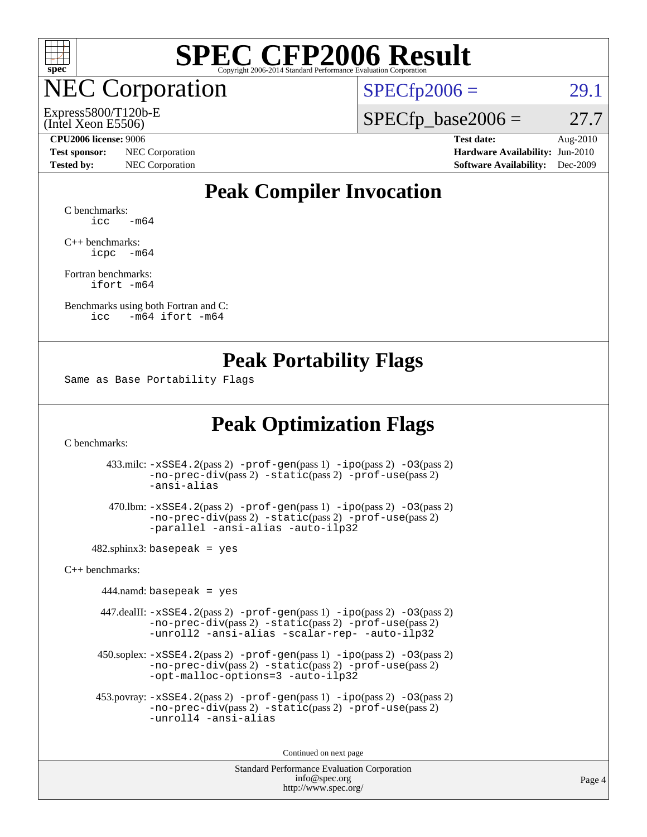

**EC Corporation** 

(Intel Xeon E5506) Express5800/T120b-E  $SPECTp2006 = 29.1$ 

 $SPECTp\_base2006 = 27.7$ 

**[Test sponsor:](http://www.spec.org/auto/cpu2006/Docs/result-fields.html#Testsponsor)** NEC Corporation **[Hardware Availability:](http://www.spec.org/auto/cpu2006/Docs/result-fields.html#HardwareAvailability)** Jun-2010

**[CPU2006 license:](http://www.spec.org/auto/cpu2006/Docs/result-fields.html#CPU2006license)** 9006 **[Test date:](http://www.spec.org/auto/cpu2006/Docs/result-fields.html#Testdate)** Aug-2010 **[Tested by:](http://www.spec.org/auto/cpu2006/Docs/result-fields.html#Testedby)** NEC Corporation **[Software Availability:](http://www.spec.org/auto/cpu2006/Docs/result-fields.html#SoftwareAvailability)** Dec-2009

### **[Peak Compiler Invocation](http://www.spec.org/auto/cpu2006/Docs/result-fields.html#PeakCompilerInvocation)**

[C benchmarks](http://www.spec.org/auto/cpu2006/Docs/result-fields.html#Cbenchmarks):  $\text{icc}$   $-\text{m64}$ 

[C++ benchmarks:](http://www.spec.org/auto/cpu2006/Docs/result-fields.html#CXXbenchmarks) [icpc -m64](http://www.spec.org/cpu2006/results/res2010q3/cpu2006-20100829-13102.flags.html#user_CXXpeak_intel_icpc_64bit_bedb90c1146cab66620883ef4f41a67e)

[Fortran benchmarks](http://www.spec.org/auto/cpu2006/Docs/result-fields.html#Fortranbenchmarks): [ifort -m64](http://www.spec.org/cpu2006/results/res2010q3/cpu2006-20100829-13102.flags.html#user_FCpeak_intel_ifort_64bit_ee9d0fb25645d0210d97eb0527dcc06e)

[Benchmarks using both Fortran and C](http://www.spec.org/auto/cpu2006/Docs/result-fields.html#BenchmarksusingbothFortranandC): [icc -m64](http://www.spec.org/cpu2006/results/res2010q3/cpu2006-20100829-13102.flags.html#user_CC_FCpeak_intel_icc_64bit_0b7121f5ab7cfabee23d88897260401c) [ifort -m64](http://www.spec.org/cpu2006/results/res2010q3/cpu2006-20100829-13102.flags.html#user_CC_FCpeak_intel_ifort_64bit_ee9d0fb25645d0210d97eb0527dcc06e)

### **[Peak Portability Flags](http://www.spec.org/auto/cpu2006/Docs/result-fields.html#PeakPortabilityFlags)**

Same as Base Portability Flags

### **[Peak Optimization Flags](http://www.spec.org/auto/cpu2006/Docs/result-fields.html#PeakOptimizationFlags)**

[C benchmarks](http://www.spec.org/auto/cpu2006/Docs/result-fields.html#Cbenchmarks):

 433.milc: [-xSSE4.2](http://www.spec.org/cpu2006/results/res2010q3/cpu2006-20100829-13102.flags.html#user_peakPASS2_CFLAGSPASS2_LDFLAGS433_milc_f-xSSE42_f91528193cf0b216347adb8b939d4107)(pass 2) [-prof-gen](http://www.spec.org/cpu2006/results/res2010q3/cpu2006-20100829-13102.flags.html#user_peakPASS1_CFLAGSPASS1_LDFLAGS433_milc_prof_gen_e43856698f6ca7b7e442dfd80e94a8fc)(pass 1) [-ipo](http://www.spec.org/cpu2006/results/res2010q3/cpu2006-20100829-13102.flags.html#user_peakPASS2_CFLAGSPASS2_LDFLAGS433_milc_f-ipo)(pass 2) [-O3](http://www.spec.org/cpu2006/results/res2010q3/cpu2006-20100829-13102.flags.html#user_peakPASS2_CFLAGSPASS2_LDFLAGS433_milc_f-O3)(pass 2) [-no-prec-div](http://www.spec.org/cpu2006/results/res2010q3/cpu2006-20100829-13102.flags.html#user_peakPASS2_CFLAGSPASS2_LDFLAGS433_milc_f-no-prec-div)(pass 2) [-static](http://www.spec.org/cpu2006/results/res2010q3/cpu2006-20100829-13102.flags.html#user_peakPASS2_CFLAGSPASS2_LDFLAGS433_milc_f-static)(pass 2) [-prof-use](http://www.spec.org/cpu2006/results/res2010q3/cpu2006-20100829-13102.flags.html#user_peakPASS2_CFLAGSPASS2_LDFLAGS433_milc_prof_use_bccf7792157ff70d64e32fe3e1250b55)(pass 2) [-ansi-alias](http://www.spec.org/cpu2006/results/res2010q3/cpu2006-20100829-13102.flags.html#user_peakOPTIMIZE433_milc_f-ansi-alias)

 470.lbm: [-xSSE4.2](http://www.spec.org/cpu2006/results/res2010q3/cpu2006-20100829-13102.flags.html#user_peakPASS2_CFLAGSPASS2_LDFLAGS470_lbm_f-xSSE42_f91528193cf0b216347adb8b939d4107)(pass 2) [-prof-gen](http://www.spec.org/cpu2006/results/res2010q3/cpu2006-20100829-13102.flags.html#user_peakPASS1_CFLAGSPASS1_LDFLAGS470_lbm_prof_gen_e43856698f6ca7b7e442dfd80e94a8fc)(pass 1) [-ipo](http://www.spec.org/cpu2006/results/res2010q3/cpu2006-20100829-13102.flags.html#user_peakPASS2_CFLAGSPASS2_LDFLAGS470_lbm_f-ipo)(pass 2) [-O3](http://www.spec.org/cpu2006/results/res2010q3/cpu2006-20100829-13102.flags.html#user_peakPASS2_CFLAGSPASS2_LDFLAGS470_lbm_f-O3)(pass 2) [-no-prec-div](http://www.spec.org/cpu2006/results/res2010q3/cpu2006-20100829-13102.flags.html#user_peakPASS2_CFLAGSPASS2_LDFLAGS470_lbm_f-no-prec-div)(pass 2) [-static](http://www.spec.org/cpu2006/results/res2010q3/cpu2006-20100829-13102.flags.html#user_peakPASS2_CFLAGSPASS2_LDFLAGS470_lbm_f-static)(pass 2) [-prof-use](http://www.spec.org/cpu2006/results/res2010q3/cpu2006-20100829-13102.flags.html#user_peakPASS2_CFLAGSPASS2_LDFLAGS470_lbm_prof_use_bccf7792157ff70d64e32fe3e1250b55)(pass 2) [-parallel](http://www.spec.org/cpu2006/results/res2010q3/cpu2006-20100829-13102.flags.html#user_peakOPTIMIZE470_lbm_f-parallel) [-ansi-alias](http://www.spec.org/cpu2006/results/res2010q3/cpu2006-20100829-13102.flags.html#user_peakOPTIMIZE470_lbm_f-ansi-alias) [-auto-ilp32](http://www.spec.org/cpu2006/results/res2010q3/cpu2006-20100829-13102.flags.html#user_peakCOPTIMIZE470_lbm_f-auto-ilp32)

 $482$ .sphinx3: basepeak = yes

[C++ benchmarks:](http://www.spec.org/auto/cpu2006/Docs/result-fields.html#CXXbenchmarks)

 $444$ .namd: basepeak = yes

 447.dealII: [-xSSE4.2](http://www.spec.org/cpu2006/results/res2010q3/cpu2006-20100829-13102.flags.html#user_peakPASS2_CXXFLAGSPASS2_LDFLAGS447_dealII_f-xSSE42_f91528193cf0b216347adb8b939d4107)(pass 2) [-prof-gen](http://www.spec.org/cpu2006/results/res2010q3/cpu2006-20100829-13102.flags.html#user_peakPASS1_CXXFLAGSPASS1_LDFLAGS447_dealII_prof_gen_e43856698f6ca7b7e442dfd80e94a8fc)(pass 1) [-ipo](http://www.spec.org/cpu2006/results/res2010q3/cpu2006-20100829-13102.flags.html#user_peakPASS2_CXXFLAGSPASS2_LDFLAGS447_dealII_f-ipo)(pass 2) [-O3](http://www.spec.org/cpu2006/results/res2010q3/cpu2006-20100829-13102.flags.html#user_peakPASS2_CXXFLAGSPASS2_LDFLAGS447_dealII_f-O3)(pass 2) [-no-prec-div](http://www.spec.org/cpu2006/results/res2010q3/cpu2006-20100829-13102.flags.html#user_peakPASS2_CXXFLAGSPASS2_LDFLAGS447_dealII_f-no-prec-div)(pass 2) [-static](http://www.spec.org/cpu2006/results/res2010q3/cpu2006-20100829-13102.flags.html#user_peakPASS2_CXXFLAGSPASS2_LDFLAGS447_dealII_f-static)(pass 2) [-prof-use](http://www.spec.org/cpu2006/results/res2010q3/cpu2006-20100829-13102.flags.html#user_peakPASS2_CXXFLAGSPASS2_LDFLAGS447_dealII_prof_use_bccf7792157ff70d64e32fe3e1250b55)(pass 2) [-unroll2](http://www.spec.org/cpu2006/results/res2010q3/cpu2006-20100829-13102.flags.html#user_peakOPTIMIZE447_dealII_f-unroll_784dae83bebfb236979b41d2422d7ec2) [-ansi-alias](http://www.spec.org/cpu2006/results/res2010q3/cpu2006-20100829-13102.flags.html#user_peakOPTIMIZE447_dealII_f-ansi-alias) [-scalar-rep-](http://www.spec.org/cpu2006/results/res2010q3/cpu2006-20100829-13102.flags.html#user_peakOPTIMIZE447_dealII_f-disablescalarrep_abbcad04450fb118e4809c81d83c8a1d) [-auto-ilp32](http://www.spec.org/cpu2006/results/res2010q3/cpu2006-20100829-13102.flags.html#user_peakCXXOPTIMIZE447_dealII_f-auto-ilp32)

 $450.\text{soplex: } -x\text{SSE4}.2(\text{pass 2}) -\text{prof-gen}(\text{pass 1}) -\text{ipo}(\text{pass 2}) -\text{O3}(\text{pass 2})$ [-no-prec-div](http://www.spec.org/cpu2006/results/res2010q3/cpu2006-20100829-13102.flags.html#user_peakPASS2_CXXFLAGSPASS2_LDFLAGS450_soplex_f-no-prec-div)(pass 2) [-static](http://www.spec.org/cpu2006/results/res2010q3/cpu2006-20100829-13102.flags.html#user_peakPASS2_CXXFLAGSPASS2_LDFLAGS450_soplex_f-static)(pass 2) [-prof-use](http://www.spec.org/cpu2006/results/res2010q3/cpu2006-20100829-13102.flags.html#user_peakPASS2_CXXFLAGSPASS2_LDFLAGS450_soplex_prof_use_bccf7792157ff70d64e32fe3e1250b55)(pass 2) [-opt-malloc-options=3](http://www.spec.org/cpu2006/results/res2010q3/cpu2006-20100829-13102.flags.html#user_peakOPTIMIZE450_soplex_f-opt-malloc-options_13ab9b803cf986b4ee62f0a5998c2238) [-auto-ilp32](http://www.spec.org/cpu2006/results/res2010q3/cpu2006-20100829-13102.flags.html#user_peakCXXOPTIMIZE450_soplex_f-auto-ilp32)

 453.povray: [-xSSE4.2](http://www.spec.org/cpu2006/results/res2010q3/cpu2006-20100829-13102.flags.html#user_peakPASS2_CXXFLAGSPASS2_LDFLAGS453_povray_f-xSSE42_f91528193cf0b216347adb8b939d4107)(pass 2) [-prof-gen](http://www.spec.org/cpu2006/results/res2010q3/cpu2006-20100829-13102.flags.html#user_peakPASS1_CXXFLAGSPASS1_LDFLAGS453_povray_prof_gen_e43856698f6ca7b7e442dfd80e94a8fc)(pass 1) [-ipo](http://www.spec.org/cpu2006/results/res2010q3/cpu2006-20100829-13102.flags.html#user_peakPASS2_CXXFLAGSPASS2_LDFLAGS453_povray_f-ipo)(pass 2) [-O3](http://www.spec.org/cpu2006/results/res2010q3/cpu2006-20100829-13102.flags.html#user_peakPASS2_CXXFLAGSPASS2_LDFLAGS453_povray_f-O3)(pass 2) [-no-prec-div](http://www.spec.org/cpu2006/results/res2010q3/cpu2006-20100829-13102.flags.html#user_peakPASS2_CXXFLAGSPASS2_LDFLAGS453_povray_f-no-prec-div)(pass 2) [-static](http://www.spec.org/cpu2006/results/res2010q3/cpu2006-20100829-13102.flags.html#user_peakPASS2_CXXFLAGSPASS2_LDFLAGS453_povray_f-static)(pass 2) [-prof-use](http://www.spec.org/cpu2006/results/res2010q3/cpu2006-20100829-13102.flags.html#user_peakPASS2_CXXFLAGSPASS2_LDFLAGS453_povray_prof_use_bccf7792157ff70d64e32fe3e1250b55)(pass 2) [-unroll4](http://www.spec.org/cpu2006/results/res2010q3/cpu2006-20100829-13102.flags.html#user_peakCXXOPTIMIZE453_povray_f-unroll_4e5e4ed65b7fd20bdcd365bec371b81f) [-ansi-alias](http://www.spec.org/cpu2006/results/res2010q3/cpu2006-20100829-13102.flags.html#user_peakCXXOPTIMIZE453_povray_f-ansi-alias)

Continued on next page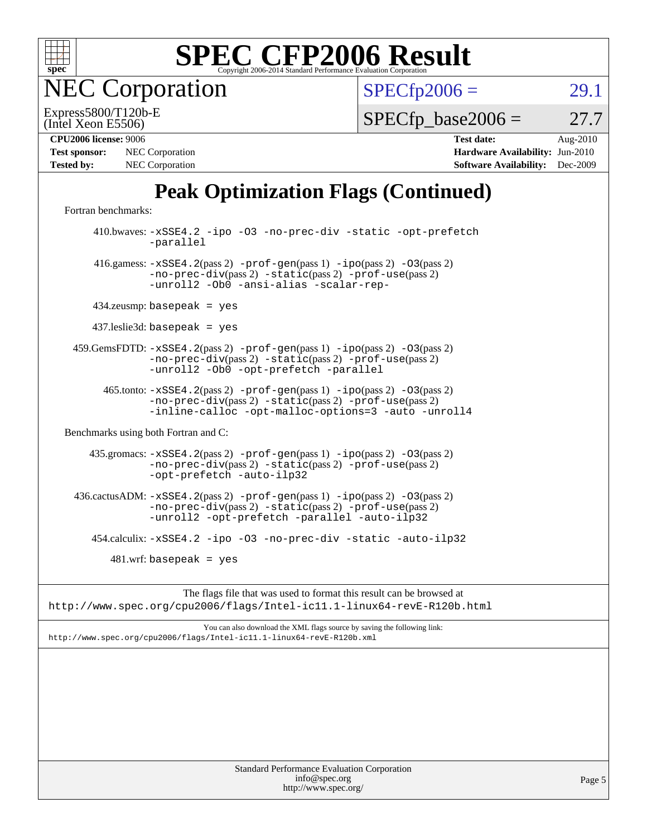

**EC Corporation** 

 $SPECfp2006 = 29.1$  $SPECfp2006 = 29.1$ 

(Intel Xeon E5506) Express5800/T120b-E

 $SPECTp\_base2006 = 27.7$ 

| <b>Test sponsor:</b> | NEC Corporation        |
|----------------------|------------------------|
| <b>Tested by:</b>    | <b>NEC</b> Corporation |

**[CPU2006 license:](http://www.spec.org/auto/cpu2006/Docs/result-fields.html#CPU2006license)** 9006 **[Test date:](http://www.spec.org/auto/cpu2006/Docs/result-fields.html#Testdate)** Aug-2010 **[Hardware Availability:](http://www.spec.org/auto/cpu2006/Docs/result-fields.html#HardwareAvailability)** Jun-2010 **[Software Availability:](http://www.spec.org/auto/cpu2006/Docs/result-fields.html#SoftwareAvailability)** Dec-2009

## **[Peak Optimization Flags \(Continued\)](http://www.spec.org/auto/cpu2006/Docs/result-fields.html#PeakOptimizationFlags)**

[Fortran benchmarks](http://www.spec.org/auto/cpu2006/Docs/result-fields.html#Fortranbenchmarks):

 410.bwaves: [-xSSE4.2](http://www.spec.org/cpu2006/results/res2010q3/cpu2006-20100829-13102.flags.html#user_peakOPTIMIZE410_bwaves_f-xSSE42_f91528193cf0b216347adb8b939d4107) [-ipo](http://www.spec.org/cpu2006/results/res2010q3/cpu2006-20100829-13102.flags.html#user_peakOPTIMIZE410_bwaves_f-ipo) [-O3](http://www.spec.org/cpu2006/results/res2010q3/cpu2006-20100829-13102.flags.html#user_peakOPTIMIZE410_bwaves_f-O3) [-no-prec-div](http://www.spec.org/cpu2006/results/res2010q3/cpu2006-20100829-13102.flags.html#user_peakOPTIMIZE410_bwaves_f-no-prec-div) [-static](http://www.spec.org/cpu2006/results/res2010q3/cpu2006-20100829-13102.flags.html#user_peakOPTIMIZE410_bwaves_f-static) [-opt-prefetch](http://www.spec.org/cpu2006/results/res2010q3/cpu2006-20100829-13102.flags.html#user_peakOPTIMIZE410_bwaves_f-opt-prefetch) [-parallel](http://www.spec.org/cpu2006/results/res2010q3/cpu2006-20100829-13102.flags.html#user_peakOPTIMIZE410_bwaves_f-parallel) 416.gamess: [-xSSE4.2](http://www.spec.org/cpu2006/results/res2010q3/cpu2006-20100829-13102.flags.html#user_peakPASS2_FFLAGSPASS2_LDFLAGS416_gamess_f-xSSE42_f91528193cf0b216347adb8b939d4107)(pass 2) [-prof-gen](http://www.spec.org/cpu2006/results/res2010q3/cpu2006-20100829-13102.flags.html#user_peakPASS1_FFLAGSPASS1_LDFLAGS416_gamess_prof_gen_e43856698f6ca7b7e442dfd80e94a8fc)(pass 1) [-ipo](http://www.spec.org/cpu2006/results/res2010q3/cpu2006-20100829-13102.flags.html#user_peakPASS2_FFLAGSPASS2_LDFLAGS416_gamess_f-ipo)(pass 2) [-O3](http://www.spec.org/cpu2006/results/res2010q3/cpu2006-20100829-13102.flags.html#user_peakPASS2_FFLAGSPASS2_LDFLAGS416_gamess_f-O3)(pass 2) [-no-prec-div](http://www.spec.org/cpu2006/results/res2010q3/cpu2006-20100829-13102.flags.html#user_peakPASS2_FFLAGSPASS2_LDFLAGS416_gamess_f-no-prec-div)(pass 2) [-static](http://www.spec.org/cpu2006/results/res2010q3/cpu2006-20100829-13102.flags.html#user_peakPASS2_FFLAGSPASS2_LDFLAGS416_gamess_f-static)(pass 2) [-prof-use](http://www.spec.org/cpu2006/results/res2010q3/cpu2006-20100829-13102.flags.html#user_peakPASS2_FFLAGSPASS2_LDFLAGS416_gamess_prof_use_bccf7792157ff70d64e32fe3e1250b55)(pass 2) [-unroll2](http://www.spec.org/cpu2006/results/res2010q3/cpu2006-20100829-13102.flags.html#user_peakOPTIMIZE416_gamess_f-unroll_784dae83bebfb236979b41d2422d7ec2) [-Ob0](http://www.spec.org/cpu2006/results/res2010q3/cpu2006-20100829-13102.flags.html#user_peakOPTIMIZE416_gamess_f-Ob_n_fbe6f6428adb7d4b74b1e99bb2444c2d) [-ansi-alias](http://www.spec.org/cpu2006/results/res2010q3/cpu2006-20100829-13102.flags.html#user_peakOPTIMIZE416_gamess_f-ansi-alias) [-scalar-rep-](http://www.spec.org/cpu2006/results/res2010q3/cpu2006-20100829-13102.flags.html#user_peakOPTIMIZE416_gamess_f-disablescalarrep_abbcad04450fb118e4809c81d83c8a1d) 434.zeusmp: basepeak = yes 437.leslie3d: basepeak = yes 459.GemsFDTD: [-xSSE4.2](http://www.spec.org/cpu2006/results/res2010q3/cpu2006-20100829-13102.flags.html#user_peakPASS2_FFLAGSPASS2_LDFLAGS459_GemsFDTD_f-xSSE42_f91528193cf0b216347adb8b939d4107)(pass 2) [-prof-gen](http://www.spec.org/cpu2006/results/res2010q3/cpu2006-20100829-13102.flags.html#user_peakPASS1_FFLAGSPASS1_LDFLAGS459_GemsFDTD_prof_gen_e43856698f6ca7b7e442dfd80e94a8fc)(pass 1) [-ipo](http://www.spec.org/cpu2006/results/res2010q3/cpu2006-20100829-13102.flags.html#user_peakPASS2_FFLAGSPASS2_LDFLAGS459_GemsFDTD_f-ipo)(pass 2) [-O3](http://www.spec.org/cpu2006/results/res2010q3/cpu2006-20100829-13102.flags.html#user_peakPASS2_FFLAGSPASS2_LDFLAGS459_GemsFDTD_f-O3)(pass 2) [-no-prec-div](http://www.spec.org/cpu2006/results/res2010q3/cpu2006-20100829-13102.flags.html#user_peakPASS2_FFLAGSPASS2_LDFLAGS459_GemsFDTD_f-no-prec-div)(pass 2) [-static](http://www.spec.org/cpu2006/results/res2010q3/cpu2006-20100829-13102.flags.html#user_peakPASS2_FFLAGSPASS2_LDFLAGS459_GemsFDTD_f-static)(pass 2) [-prof-use](http://www.spec.org/cpu2006/results/res2010q3/cpu2006-20100829-13102.flags.html#user_peakPASS2_FFLAGSPASS2_LDFLAGS459_GemsFDTD_prof_use_bccf7792157ff70d64e32fe3e1250b55)(pass 2) [-unroll2](http://www.spec.org/cpu2006/results/res2010q3/cpu2006-20100829-13102.flags.html#user_peakOPTIMIZE459_GemsFDTD_f-unroll_784dae83bebfb236979b41d2422d7ec2) [-Ob0](http://www.spec.org/cpu2006/results/res2010q3/cpu2006-20100829-13102.flags.html#user_peakOPTIMIZE459_GemsFDTD_f-Ob_n_fbe6f6428adb7d4b74b1e99bb2444c2d) [-opt-prefetch](http://www.spec.org/cpu2006/results/res2010q3/cpu2006-20100829-13102.flags.html#user_peakOPTIMIZE459_GemsFDTD_f-opt-prefetch) [-parallel](http://www.spec.org/cpu2006/results/res2010q3/cpu2006-20100829-13102.flags.html#user_peakOPTIMIZE459_GemsFDTD_f-parallel) 465.tonto: [-xSSE4.2](http://www.spec.org/cpu2006/results/res2010q3/cpu2006-20100829-13102.flags.html#user_peakPASS2_FFLAGSPASS2_LDFLAGS465_tonto_f-xSSE42_f91528193cf0b216347adb8b939d4107)(pass 2) [-prof-gen](http://www.spec.org/cpu2006/results/res2010q3/cpu2006-20100829-13102.flags.html#user_peakPASS1_FFLAGSPASS1_LDFLAGS465_tonto_prof_gen_e43856698f6ca7b7e442dfd80e94a8fc)(pass 1) [-ipo](http://www.spec.org/cpu2006/results/res2010q3/cpu2006-20100829-13102.flags.html#user_peakPASS2_FFLAGSPASS2_LDFLAGS465_tonto_f-ipo)(pass 2) [-O3](http://www.spec.org/cpu2006/results/res2010q3/cpu2006-20100829-13102.flags.html#user_peakPASS2_FFLAGSPASS2_LDFLAGS465_tonto_f-O3)(pass 2) [-no-prec-div](http://www.spec.org/cpu2006/results/res2010q3/cpu2006-20100829-13102.flags.html#user_peakPASS2_FFLAGSPASS2_LDFLAGS465_tonto_f-no-prec-div)(pass 2) [-static](http://www.spec.org/cpu2006/results/res2010q3/cpu2006-20100829-13102.flags.html#user_peakPASS2_FFLAGSPASS2_LDFLAGS465_tonto_f-static)(pass 2) [-prof-use](http://www.spec.org/cpu2006/results/res2010q3/cpu2006-20100829-13102.flags.html#user_peakPASS2_FFLAGSPASS2_LDFLAGS465_tonto_prof_use_bccf7792157ff70d64e32fe3e1250b55)(pass 2) [-inline-calloc](http://www.spec.org/cpu2006/results/res2010q3/cpu2006-20100829-13102.flags.html#user_peakOPTIMIZE465_tonto_f-inline-calloc) [-opt-malloc-options=3](http://www.spec.org/cpu2006/results/res2010q3/cpu2006-20100829-13102.flags.html#user_peakOPTIMIZE465_tonto_f-opt-malloc-options_13ab9b803cf986b4ee62f0a5998c2238) [-auto](http://www.spec.org/cpu2006/results/res2010q3/cpu2006-20100829-13102.flags.html#user_peakOPTIMIZE465_tonto_f-auto) [-unroll4](http://www.spec.org/cpu2006/results/res2010q3/cpu2006-20100829-13102.flags.html#user_peakOPTIMIZE465_tonto_f-unroll_4e5e4ed65b7fd20bdcd365bec371b81f) [Benchmarks using both Fortran and C](http://www.spec.org/auto/cpu2006/Docs/result-fields.html#BenchmarksusingbothFortranandC): 435.gromacs: [-xSSE4.2](http://www.spec.org/cpu2006/results/res2010q3/cpu2006-20100829-13102.flags.html#user_peakPASS2_CFLAGSPASS2_FFLAGSPASS2_LDFLAGS435_gromacs_f-xSSE42_f91528193cf0b216347adb8b939d4107)(pass 2) [-prof-gen](http://www.spec.org/cpu2006/results/res2010q3/cpu2006-20100829-13102.flags.html#user_peakPASS1_CFLAGSPASS1_FFLAGSPASS1_LDFLAGS435_gromacs_prof_gen_e43856698f6ca7b7e442dfd80e94a8fc)(pass 1) [-ipo](http://www.spec.org/cpu2006/results/res2010q3/cpu2006-20100829-13102.flags.html#user_peakPASS2_CFLAGSPASS2_FFLAGSPASS2_LDFLAGS435_gromacs_f-ipo)(pass 2) [-O3](http://www.spec.org/cpu2006/results/res2010q3/cpu2006-20100829-13102.flags.html#user_peakPASS2_CFLAGSPASS2_FFLAGSPASS2_LDFLAGS435_gromacs_f-O3)(pass 2) [-no-prec-div](http://www.spec.org/cpu2006/results/res2010q3/cpu2006-20100829-13102.flags.html#user_peakPASS2_CFLAGSPASS2_FFLAGSPASS2_LDFLAGS435_gromacs_f-no-prec-div)(pass 2) [-static](http://www.spec.org/cpu2006/results/res2010q3/cpu2006-20100829-13102.flags.html#user_peakPASS2_CFLAGSPASS2_FFLAGSPASS2_LDFLAGS435_gromacs_f-static)(pass 2) [-prof-use](http://www.spec.org/cpu2006/results/res2010q3/cpu2006-20100829-13102.flags.html#user_peakPASS2_CFLAGSPASS2_FFLAGSPASS2_LDFLAGS435_gromacs_prof_use_bccf7792157ff70d64e32fe3e1250b55)(pass 2) [-opt-prefetch](http://www.spec.org/cpu2006/results/res2010q3/cpu2006-20100829-13102.flags.html#user_peakOPTIMIZE435_gromacs_f-opt-prefetch) [-auto-ilp32](http://www.spec.org/cpu2006/results/res2010q3/cpu2006-20100829-13102.flags.html#user_peakCOPTIMIZE435_gromacs_f-auto-ilp32) 436.cactusADM:  $-xSSE4$ . 2(pass 2)  $-prof-gen(pass 1) -ipo(pass 2) -O3(pass 2)$  $-prof-gen(pass 1) -ipo(pass 2) -O3(pass 2)$  $-prof-gen(pass 1) -ipo(pass 2) -O3(pass 2)$  $-prof-gen(pass 1) -ipo(pass 2) -O3(pass 2)$  $-prof-gen(pass 1) -ipo(pass 2) -O3(pass 2)$  $-prof-gen(pass 1) -ipo(pass 2) -O3(pass 2)$ [-no-prec-div](http://www.spec.org/cpu2006/results/res2010q3/cpu2006-20100829-13102.flags.html#user_peakPASS2_CFLAGSPASS2_FFLAGSPASS2_LDFLAGS436_cactusADM_f-no-prec-div)(pass 2) [-static](http://www.spec.org/cpu2006/results/res2010q3/cpu2006-20100829-13102.flags.html#user_peakPASS2_CFLAGSPASS2_FFLAGSPASS2_LDFLAGS436_cactusADM_f-static)(pass 2) [-prof-use](http://www.spec.org/cpu2006/results/res2010q3/cpu2006-20100829-13102.flags.html#user_peakPASS2_CFLAGSPASS2_FFLAGSPASS2_LDFLAGS436_cactusADM_prof_use_bccf7792157ff70d64e32fe3e1250b55)(pass 2) [-unroll2](http://www.spec.org/cpu2006/results/res2010q3/cpu2006-20100829-13102.flags.html#user_peakOPTIMIZE436_cactusADM_f-unroll_784dae83bebfb236979b41d2422d7ec2) [-opt-prefetch](http://www.spec.org/cpu2006/results/res2010q3/cpu2006-20100829-13102.flags.html#user_peakOPTIMIZE436_cactusADM_f-opt-prefetch) [-parallel](http://www.spec.org/cpu2006/results/res2010q3/cpu2006-20100829-13102.flags.html#user_peakOPTIMIZE436_cactusADM_f-parallel) [-auto-ilp32](http://www.spec.org/cpu2006/results/res2010q3/cpu2006-20100829-13102.flags.html#user_peakCOPTIMIZE436_cactusADM_f-auto-ilp32) 454.calculix: [-xSSE4.2](http://www.spec.org/cpu2006/results/res2010q3/cpu2006-20100829-13102.flags.html#user_peakOPTIMIZE454_calculix_f-xSSE42_f91528193cf0b216347adb8b939d4107) [-ipo](http://www.spec.org/cpu2006/results/res2010q3/cpu2006-20100829-13102.flags.html#user_peakOPTIMIZE454_calculix_f-ipo) [-O3](http://www.spec.org/cpu2006/results/res2010q3/cpu2006-20100829-13102.flags.html#user_peakOPTIMIZE454_calculix_f-O3) [-no-prec-div](http://www.spec.org/cpu2006/results/res2010q3/cpu2006-20100829-13102.flags.html#user_peakOPTIMIZE454_calculix_f-no-prec-div) [-static](http://www.spec.org/cpu2006/results/res2010q3/cpu2006-20100829-13102.flags.html#user_peakOPTIMIZE454_calculix_f-static) [-auto-ilp32](http://www.spec.org/cpu2006/results/res2010q3/cpu2006-20100829-13102.flags.html#user_peakCOPTIMIZE454_calculix_f-auto-ilp32)  $481$ .wrf: basepeak = yes

The flags file that was used to format this result can be browsed at <http://www.spec.org/cpu2006/flags/Intel-ic11.1-linux64-revE-R120b.html>

You can also download the XML flags source by saving the following link: <http://www.spec.org/cpu2006/flags/Intel-ic11.1-linux64-revE-R120b.xml>